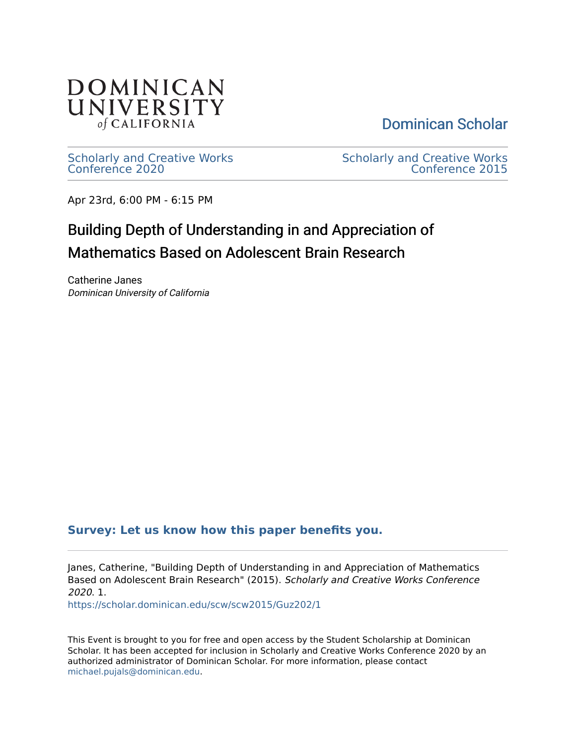

[Dominican Scholar](https://scholar.dominican.edu/) 

[Scholarly and Creative Works](https://scholar.dominican.edu/scw) [Conference 2020](https://scholar.dominican.edu/scw) 

[Scholarly and Creative Works](https://scholar.dominican.edu/scw/scw2015)  [Conference 2015](https://scholar.dominican.edu/scw/scw2015) 

Apr 23rd, 6:00 PM - 6:15 PM

#### Building Depth of Understanding in and Appreciation of Mathematics Based on Adolescent Brain Research

Catherine Janes Dominican University of California

#### **[Survey: Let us know how this paper benefits you.](https://dominican.libwizard.com/dominican-scholar-feedback)**

Janes, Catherine, "Building Depth of Understanding in and Appreciation of Mathematics Based on Adolescent Brain Research" (2015). Scholarly and Creative Works Conference 2020. 1.

[https://scholar.dominican.edu/scw/scw2015/Guz202/1](https://scholar.dominican.edu/scw/scw2015/Guz202/1?utm_source=scholar.dominican.edu%2Fscw%2Fscw2015%2FGuz202%2F1&utm_medium=PDF&utm_campaign=PDFCoverPages) 

This Event is brought to you for free and open access by the Student Scholarship at Dominican Scholar. It has been accepted for inclusion in Scholarly and Creative Works Conference 2020 by an authorized administrator of Dominican Scholar. For more information, please contact [michael.pujals@dominican.edu.](mailto:michael.pujals@dominican.edu)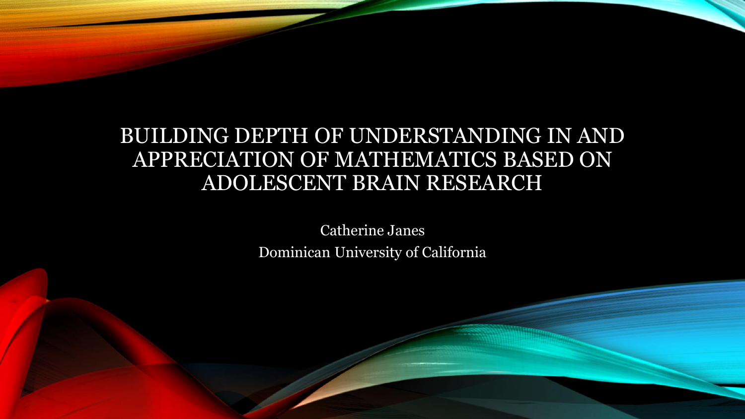#### BUILDING DEPTH OF UNDERSTANDING IN AND APPRECIATION OF MATHEMATICS BASED ON ADOLESCENT BRAIN RESEARCH

Catherine Janes Dominican University of California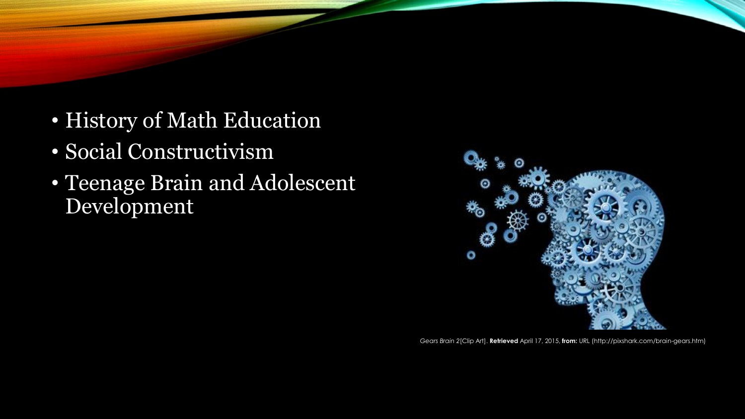- History of Math Education
- Social Constructivism
- Teenage Brain and Adolescent Development



*Gears Brain 2*[Clip Art]. **Retrieved** April 17, 2015, **from:** URL (http://pixshark.com/brain-gears.htm)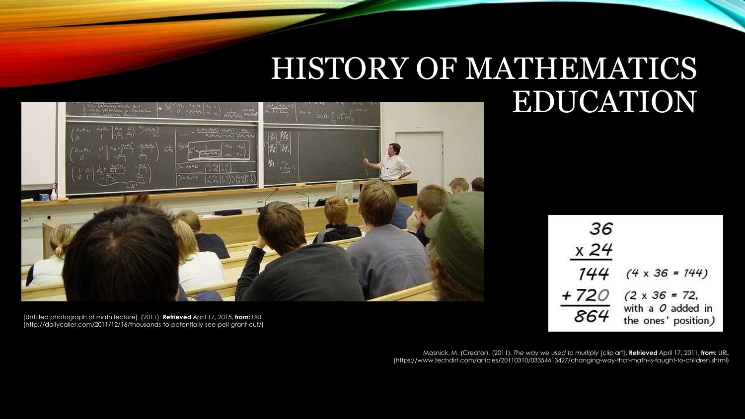#### HISTORY OF MATHEMATICS EDUCATION  $2 - \frac{1}{2} + \frac{1}{2} + \frac{1}{2} + \frac{1}{2}$  $A + 1$



[Untitled photograph of math lecture]. (2011). **Retrieved** April 17, 2015, **from:** URL (http://dailycaller.com/2011/12/16/thousands-to-potentially-see-pell-grant-cut/)

| 36           |                                                                  |
|--------------|------------------------------------------------------------------|
| x 24         |                                                                  |
| 144          | $(4 \times 36 = 144)$                                            |
| + 720<br>864 | $(2 \times 36 = 72,$<br>with a O added in<br>the ones' position) |

Masnick, M. (Creator). (2011). *The way we used to multiply* [clip art], **Retrieved** April 17, 2011, **from:** URL (https://www.techdirt.com/articles/20110310/03354413427/changing-way-that-math-is-taught-to-children.shtml)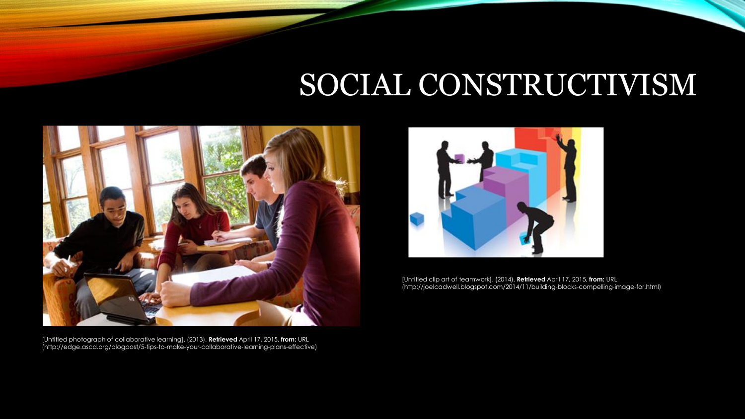## SOCIAL CONSTRUCTIVISM







[Untitled clip art of teamwork]. (2014). **Retrieved** April 17, 2015, **from:** URL (http://joelcadwell.blogspot.com/2014/11/building-blocks-compelling-image-for.html)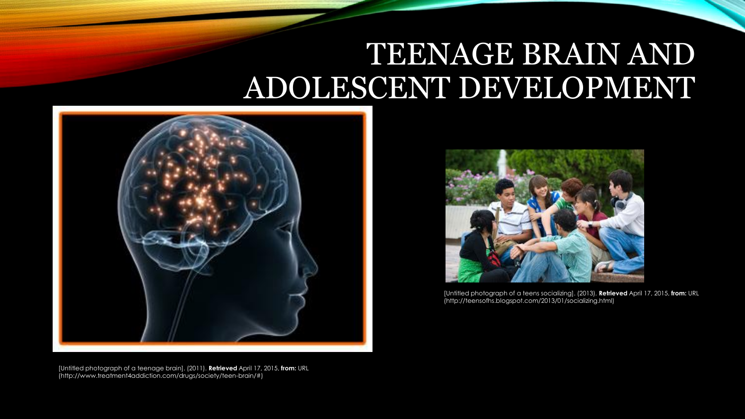## TEENAGE BRAIN AND ADOLESCENT DEVELOPMENT





[Untitled photograph of a teens socializing]. (2013). **Retrieved** April 17, 2015, **from:** URL (http://teensofhs.blogspot.com/2013/01/socializing.html)

[Untitled photograph of a teenage brain]. (2011). **Retrieved** April 17, 2015, **from:** URL (http://www.treatment4addiction.com/drugs/society/teen-brain/#)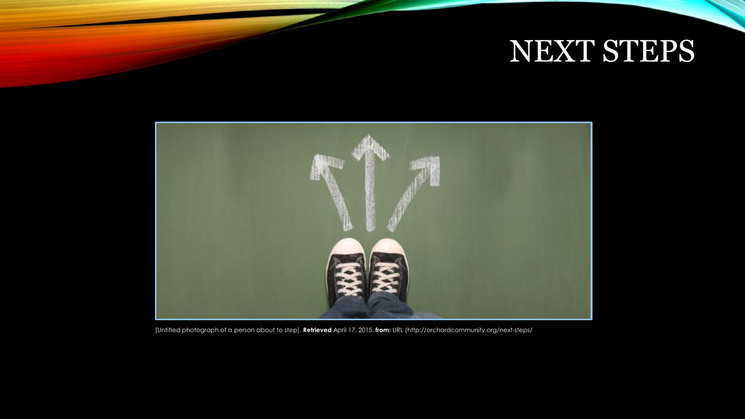## NEXT STEPS



[Untitled photograph of a person about to step]. **Retrieved** April 17, 2015, **from:** URL (http://orchardcommunity.org/next-steps/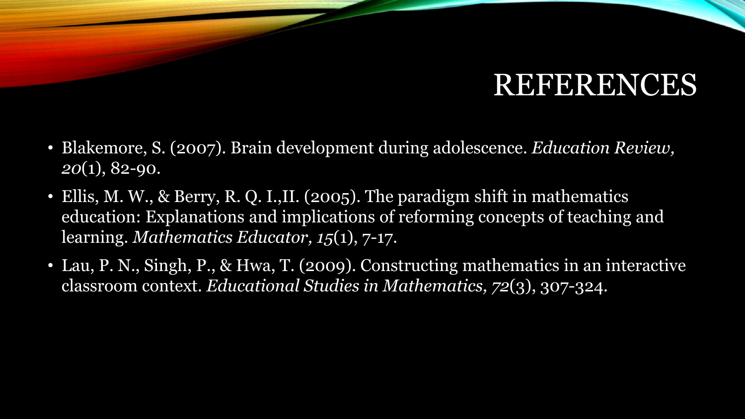### REFERENCES

- Blakemore, S. (2007). Brain development during adolescence. *Education Review, 20*(1), 82-90.
- Ellis, M. W., & Berry, R. Q. I., II. (2005). The paradigm shift in mathematics education: Explanations and implications of reforming concepts of teaching and learning. *Mathematics Educator, 15*(1), 7-17.
- Lau, P. N., Singh, P., & Hwa, T. (2009). Constructing mathematics in an interactive classroom context. *Educational Studies in Mathematics, 72*(3), 307-324.